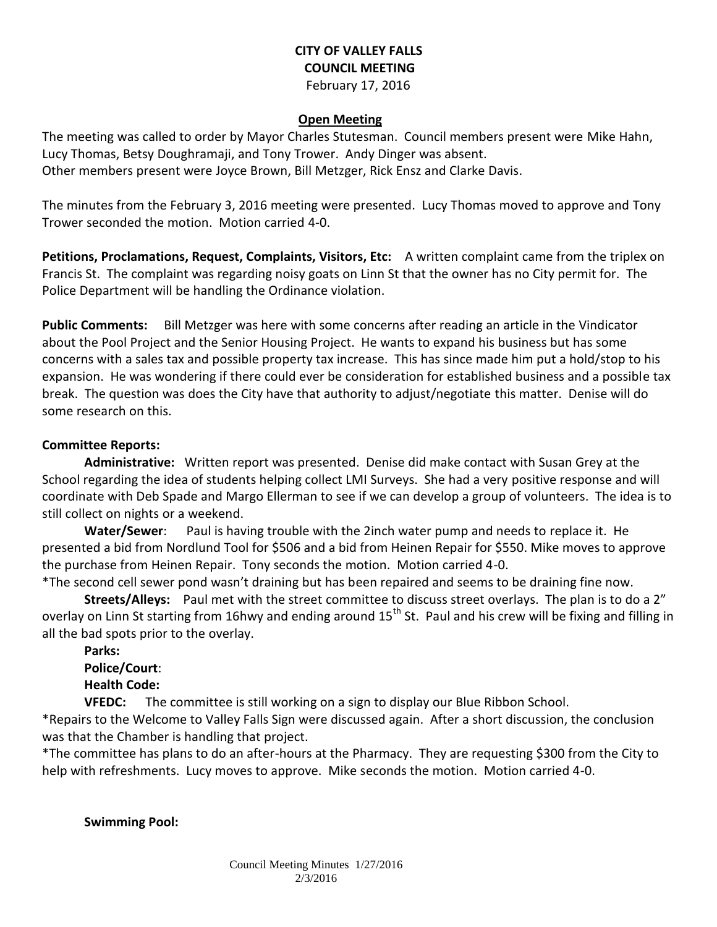### **CITY OF VALLEY FALLS COUNCIL MEETING** February 17, 2016

## **Open Meeting**

The meeting was called to order by Mayor Charles Stutesman. Council members present were Mike Hahn, Lucy Thomas, Betsy Doughramaji, and Tony Trower. Andy Dinger was absent. Other members present were Joyce Brown, Bill Metzger, Rick Ensz and Clarke Davis.

The minutes from the February 3, 2016 meeting were presented. Lucy Thomas moved to approve and Tony Trower seconded the motion. Motion carried 4-0.

**Petitions, Proclamations, Request, Complaints, Visitors, Etc:** A written complaint came from the triplex on Francis St. The complaint was regarding noisy goats on Linn St that the owner has no City permit for. The Police Department will be handling the Ordinance violation.

**Public Comments:** Bill Metzger was here with some concerns after reading an article in the Vindicator about the Pool Project and the Senior Housing Project. He wants to expand his business but has some concerns with a sales tax and possible property tax increase. This has since made him put a hold/stop to his expansion. He was wondering if there could ever be consideration for established business and a possible tax break. The question was does the City have that authority to adjust/negotiate this matter. Denise will do some research on this.

#### **Committee Reports:**

**Administrative:** Written report was presented. Denise did make contact with Susan Grey at the School regarding the idea of students helping collect LMI Surveys. She had a very positive response and will coordinate with Deb Spade and Margo Ellerman to see if we can develop a group of volunteers. The idea is to still collect on nights or a weekend.

**Water/Sewer**: Paul is having trouble with the 2inch water pump and needs to replace it. He presented a bid from Nordlund Tool for \$506 and a bid from Heinen Repair for \$550. Mike moves to approve the purchase from Heinen Repair. Tony seconds the motion. Motion carried 4-0.

\*The second cell sewer pond wasn't draining but has been repaired and seems to be draining fine now.

**Streets/Alleys:** Paul met with the street committee to discuss street overlays. The plan is to do a 2" overlay on Linn St starting from 16hwy and ending around 15<sup>th</sup> St. Paul and his crew will be fixing and filling in all the bad spots prior to the overlay.

**Parks: Police/Court**: **Health Code:** 

**VFEDC:** The committee is still working on a sign to display our Blue Ribbon School.

\*Repairs to the Welcome to Valley Falls Sign were discussed again. After a short discussion, the conclusion was that the Chamber is handling that project.

\*The committee has plans to do an after-hours at the Pharmacy. They are requesting \$300 from the City to help with refreshments. Lucy moves to approve. Mike seconds the motion. Motion carried 4-0.

**Swimming Pool:**